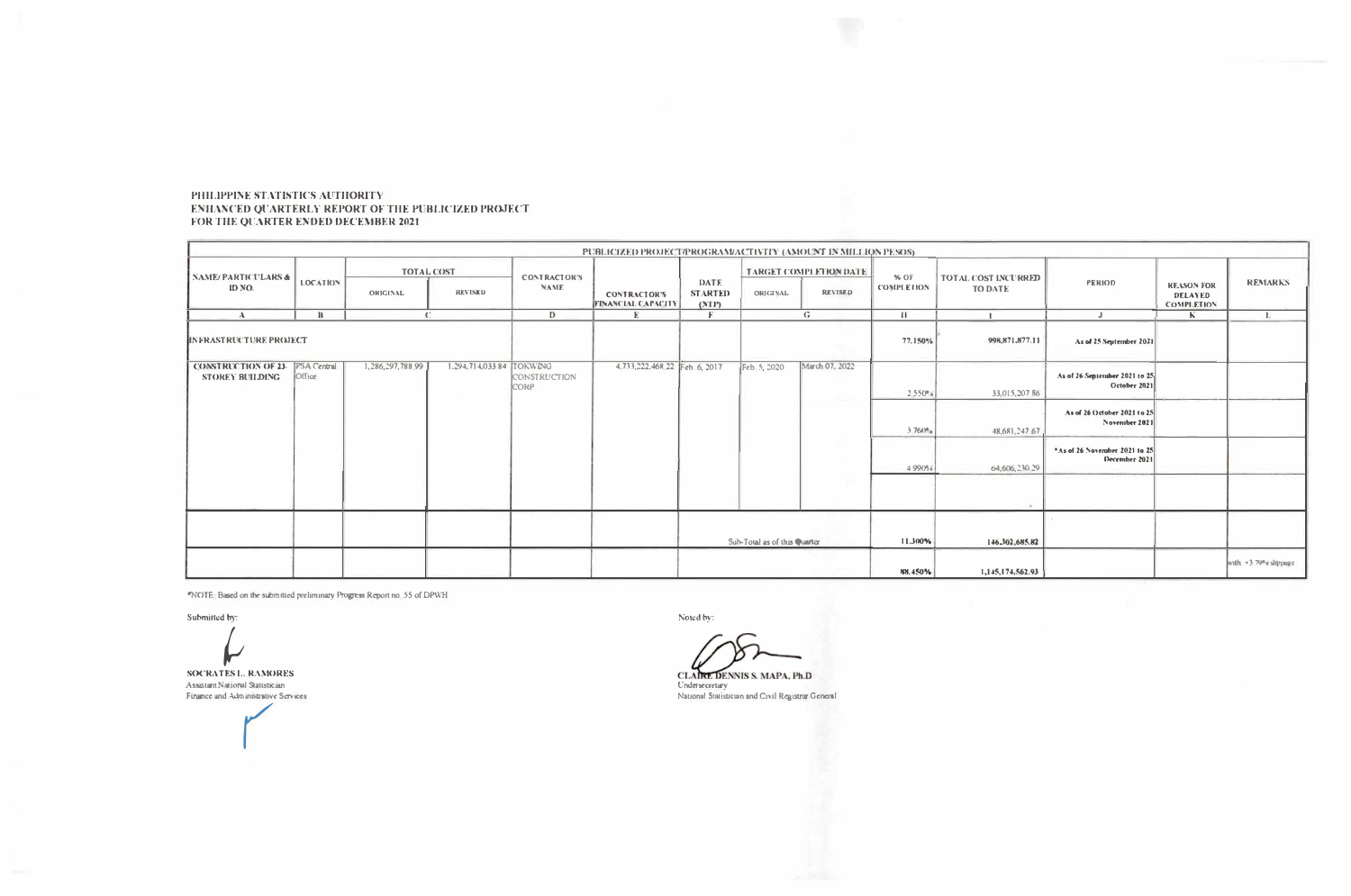## PHILIPPINE STATISTICS AUTHORITY ENHANCED QUARTERLY REPORT OF THE PUBLICIZED PROJECT FOR THE QUARTER ENDED DECEMBER 2021

| PUBLICIZED PROJECT/PROGRAM/ACTIVITY (AMOUNT IN MILLION PESOS) |                 |                                      |                          |                                    |                                                  |                                 |                              |                                                 |                           |                                       |                                                |                                                          |                      |
|---------------------------------------------------------------|-----------------|--------------------------------------|--------------------------|------------------------------------|--------------------------------------------------|---------------------------------|------------------------------|-------------------------------------------------|---------------------------|---------------------------------------|------------------------------------------------|----------------------------------------------------------|----------------------|
| <b>NAME/PARTICULARS &amp;</b><br>ID NO.                       | <b>LOCATION</b> | <b>TOTAL COST</b><br><b>ORIGINAL</b> | <b>REVISED</b>           | <b>CONTRACTOR'S</b><br><b>NAME</b> | <b>CONTRACTOR'S</b><br><b>FINANCIAL CAPACITY</b> | DATE<br><b>STARTED</b><br>(NTP) | <b>ORIGINAL</b>              | <b>TARGET COMPLETION DATE</b><br><b>REVISED</b> | % OF<br><b>COMPLETION</b> | TOTAL COST INCURRED<br><b>TO DATE</b> | PERIOD                                         | <b>REASON FOR</b><br><b>DELAYED</b><br><b>COMPLETION</b> | <b>REMARKS</b>       |
| $\mathbf{A}$                                                  | $\bf{B}$        | $\mathbb{C}$                         |                          | D                                  | Е.                                               | F                               |                              | G                                               | $\{$                      |                                       | $\mathbf{J}$                                   | $\mathbf{K}$                                             | $\mathbf{I}$ .       |
| <b>IIN FRASTRUCTURE PROJECT</b>                               |                 |                                      |                          |                                    |                                                  |                                 |                              |                                                 | 77.150%                   | 998,871,877.11                        | As of 25 September 2021                        |                                                          |                      |
| <b>CONSTRUCTION OF 23.</b> PSA Central<br>STOREY BUILDING     | <b>Office</b>   | 1,286,297,788 99                     | 1,294,714,033 84 TOKWING | CONSTRUCTION<br><b>CORP</b>        | 4.733,222.468 22 Feb 6, 2017                     |                                 | Feb 5, 2020                  | March 07, 2022                                  | 2.550%                    | 33,015,20786                          | As of 26 September 2021 to 25<br>October 2021  |                                                          |                      |
|                                                               |                 |                                      |                          |                                    |                                                  |                                 |                              |                                                 | 3.760%                    | 48,681,247.67                         | As of 26 (1ctober 2021 to 25<br>November 2021  |                                                          |                      |
|                                                               |                 |                                      |                          |                                    |                                                  |                                 |                              |                                                 | 4990%                     | 64,606,230.29                         | *As of 26 November 2021 to 25<br>December 2021 |                                                          |                      |
|                                                               |                 |                                      |                          |                                    |                                                  |                                 |                              |                                                 |                           | i al-                                 |                                                |                                                          |                      |
|                                                               |                 |                                      |                          |                                    |                                                  |                                 | Sub-Total as of this Quarter |                                                 |                           | 146,302,685.82                        |                                                |                                                          |                      |
|                                                               |                 |                                      |                          |                                    |                                                  |                                 |                              |                                                 | 88.450%                   | 1,145,174,562.93                      |                                                |                                                          | with +3 79% slippage |

"NOTE: Based on the submitted preliminary Progress Report no. 55 of DPWH

Submitted by:

**SOCRATES L. RAMORES** Assistant National Statistician Finance and Administrative Services

Noted by:

CLAIRE DENNIS S. MAPA, Ph.D Undersecretary

National Statistician and Civil Registre General